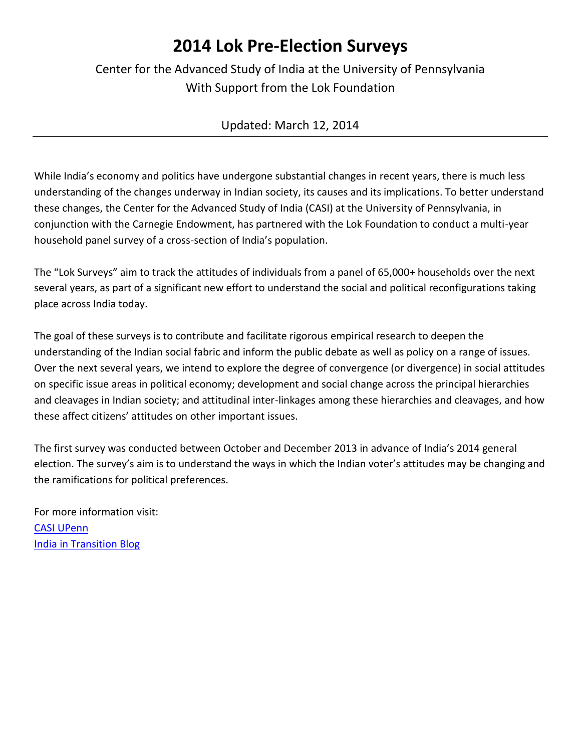## **2014 Lok Pre-Election Surveys**

### Center for the Advanced Study of India at the University of Pennsylvania With Support from the Lok Foundation

#### Updated: March 12, 2014

While India's economy and politics have undergone substantial changes in recent years, there is much less understanding of the changes underway in Indian society, its causes and its implications. To better understand these changes, the Center for the Advanced Study of India (CASI) at the University of Pennsylvania, in conjunction with the Carnegie Endowment, has partnered with the Lok Foundation to conduct a multi-year household panel survey of a cross-section of India's population.

The "Lok Surveys" aim to track the attitudes of individuals from a panel of 65,000+ households over the next several years, as part of a significant new effort to understand the social and political reconfigurations taking place across India today.

The goal of these surveys is to contribute and facilitate rigorous empirical research to deepen the understanding of the Indian social fabric and inform the public debate as well as policy on a range of issues. Over the next several years, we intend to explore the degree of convergence (or divergence) in social attitudes on specific issue areas in political economy; development and social change across the principal hierarchies and cleavages in Indian society; and attitudinal inter-linkages among these hierarchies and cleavages, and how these affect citizens' attitudes on other important issues.

The first survey was conducted between October and December 2013 in advance of India's 2014 general election. The survey's aim is to understand the ways in which the Indian voter's attitudes may be changing and the ramifications for political preferences.

For more information visit: [CASI UPenn](http://casi.sas.upenn.edu/) [India in Transition Blog](http://indiaintransition.com/)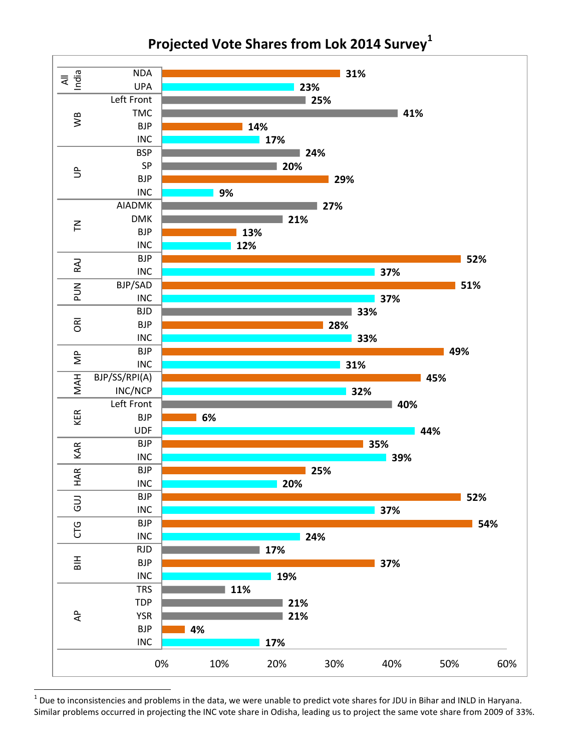

**Projected Vote Shares from Lok 2014 Survey<sup>1</sup>**

 $^1$  Due to inconsistencies and problems in the data, we were unable to predict vote shares for JDU in Bihar and INLD in Haryana. Similar problems occurred in projecting the INC vote share in Odisha, leading us to project the same vote share from 2009 of 33%.

l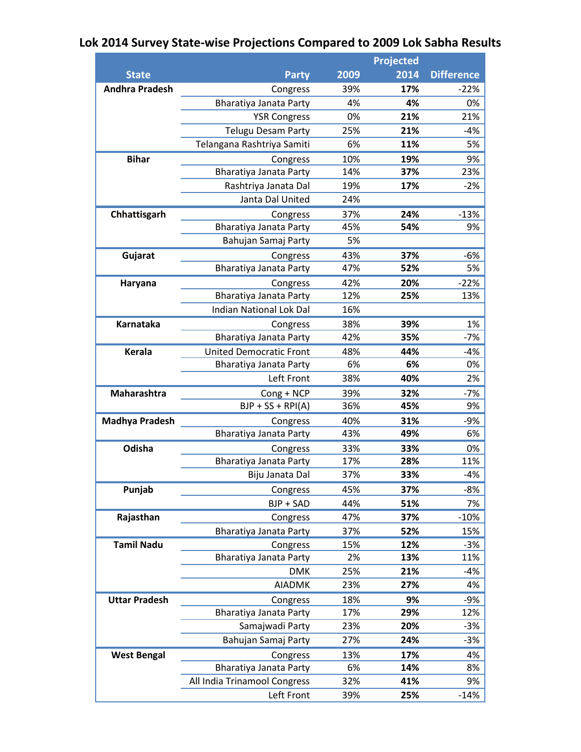## **Lok 2014 Survey State-wise Projections Compared to 2009 Lok Sabha Results**

| <b>State</b>          | <b>Party</b>                   | 2009 | 2014 | <b>Difference</b> |
|-----------------------|--------------------------------|------|------|-------------------|
| <b>Andhra Pradesh</b> | Congress                       | 39%  | 17%  | $-22%$            |
|                       | Bharatiya Janata Party         | 4%   | 4%   | 0%                |
|                       | <b>YSR Congress</b>            | 0%   | 21%  | 21%               |
|                       | <b>Telugu Desam Party</b>      | 25%  | 21%  | $-4%$             |
|                       | Telangana Rashtriya Samiti     | 6%   | 11%  | 5%                |
| <b>Bihar</b>          | Congress                       | 10%  | 19%  | 9%                |
|                       | Bharatiya Janata Party         | 14%  | 37%  | 23%               |
|                       | Rashtriya Janata Dal           | 19%  | 17%  | $-2%$             |
|                       | Janta Dal United               | 24%  |      |                   |
| Chhattisgarh          | Congress                       | 37%  | 24%  | $-13%$            |
|                       | Bharatiya Janata Party         | 45%  | 54%  | 9%                |
|                       | Bahujan Samaj Party            | 5%   |      |                   |
| Gujarat               | Congress                       | 43%  | 37%  | $-6%$             |
|                       | Bharatiya Janata Party         | 47%  | 52%  | 5%                |
| Haryana               | Congress                       | 42%  | 20%  | $-22%$            |
|                       | Bharatiya Janata Party         | 12%  | 25%  | 13%               |
|                       | <b>Indian National Lok Dal</b> | 16%  |      |                   |
| Karnataka             | Congress                       | 38%  | 39%  | 1%                |
|                       | Bharatiya Janata Party         | 42%  | 35%  | $-7%$             |
| Kerala                | <b>United Democratic Front</b> | 48%  | 44%  | $-4%$             |
|                       | Bharatiya Janata Party         | 6%   | 6%   | 0%                |
|                       | Left Front                     | 38%  | 40%  | 2%                |
| Maharashtra           | Cong + NCP                     | 39%  | 32%  | $-7%$             |
|                       | $BJP + SS + RPI(A)$            | 36%  | 45%  | 9%                |
| <b>Madhya Pradesh</b> | Congress                       | 40%  | 31%  | $-9%$             |
|                       | Bharatiya Janata Party         | 43%  | 49%  | 6%                |
| Odisha                | Congress                       | 33%  | 33%  | 0%                |
|                       | Bharatiya Janata Party         | 17%  | 28%  | 11%               |
|                       | Biju Janata Dal                | 37%  | 33%  | $-4%$             |
| Punjab                | Congress                       | 45%  | 37%  | $-8%$             |
|                       | BJP + SAD                      | 44%  | 51%  | 7%                |
| Rajasthan             | Congress                       | 47%  | 37%  | $-10%$            |
|                       | Bharatiya Janata Party         | 37%  | 52%  | 15%               |
| <b>Tamil Nadu</b>     | Congress                       | 15%  | 12%  | $-3%$             |
|                       | Bharatiya Janata Party         | 2%   | 13%  | 11%               |
|                       | <b>DMK</b>                     | 25%  | 21%  | $-4%$             |
|                       | <b>AIADMK</b>                  | 23%  | 27%  | 4%                |
| <b>Uttar Pradesh</b>  | Congress                       | 18%  | 9%   | $-9%$             |
|                       | Bharatiya Janata Party         | 17%  | 29%  | 12%               |
|                       | Samajwadi Party                | 23%  | 20%  | $-3%$             |
|                       | Bahujan Samaj Party            | 27%  | 24%  | $-3%$             |
| <b>West Bengal</b>    | Congress                       | 13%  | 17%  | 4%                |
|                       | Bharatiya Janata Party         | 6%   | 14%  | 8%                |
|                       | All India Trinamool Congress   | 32%  | 41%  | 9%                |
|                       | Left Front                     | 39%  | 25%  | $-14%$            |